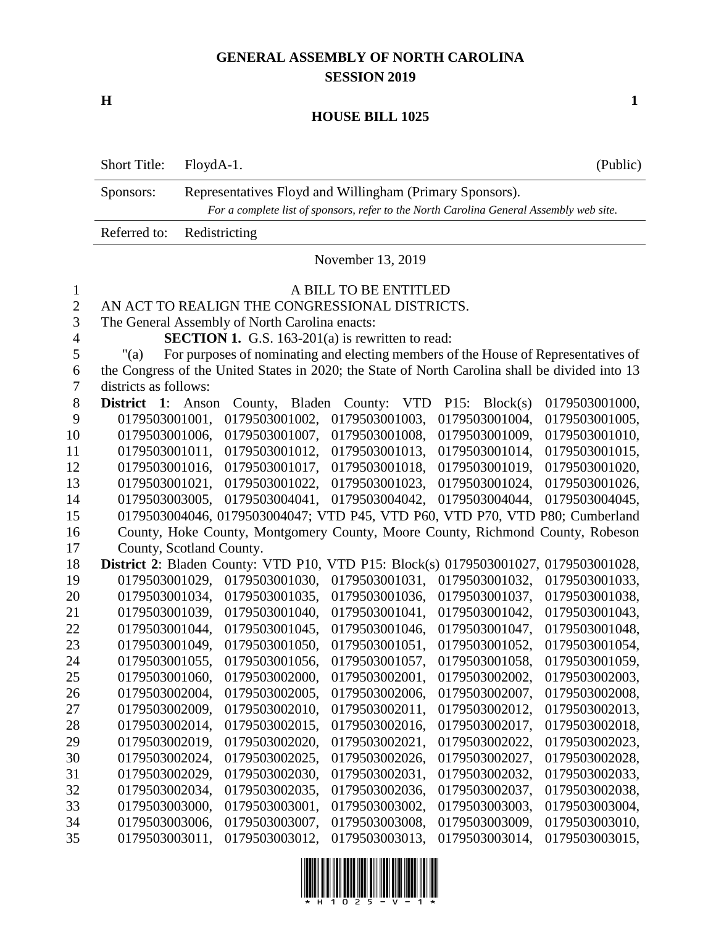### **GENERAL ASSEMBLY OF NORTH CAROLINA SESSION 2019**

**H 1**

### **HOUSE BILL 1025**

|              | <b>Short Title:</b>                                                                     | FloydA-1. |                                                         |        |                       |            |                | (Public)                                                                                        |
|--------------|-----------------------------------------------------------------------------------------|-----------|---------------------------------------------------------|--------|-----------------------|------------|----------------|-------------------------------------------------------------------------------------------------|
|              | Representatives Floyd and Willingham (Primary Sponsors).<br>Sponsors:                   |           |                                                         |        |                       |            |                |                                                                                                 |
|              | For a complete list of sponsors, refer to the North Carolina General Assembly web site. |           |                                                         |        |                       |            |                |                                                                                                 |
|              | Referred to:                                                                            |           | Redistricting                                           |        |                       |            |                |                                                                                                 |
|              |                                                                                         |           |                                                         |        | November 13, 2019     |            |                |                                                                                                 |
| $\mathbf{1}$ |                                                                                         |           |                                                         |        | A BILL TO BE ENTITLED |            |                |                                                                                                 |
| $\mathbf{2}$ |                                                                                         |           | AN ACT TO REALIGN THE CONGRESSIONAL DISTRICTS.          |        |                       |            |                |                                                                                                 |
| 3            |                                                                                         |           | The General Assembly of North Carolina enacts:          |        |                       |            |                |                                                                                                 |
| 4            |                                                                                         |           | <b>SECTION 1.</b> G.S. 163-201(a) is rewritten to read: |        |                       |            |                |                                                                                                 |
| 5            | " $(a)$                                                                                 |           |                                                         |        |                       |            |                | For purposes of nominating and electing members of the House of Representatives of              |
| 6            |                                                                                         |           |                                                         |        |                       |            |                | the Congress of the United States in 2020; the State of North Carolina shall be divided into 13 |
| 7            | districts as follows:                                                                   |           |                                                         |        |                       |            |                |                                                                                                 |
| $8\,$        | District 1: Anson                                                                       |           | County,                                                 | Bladen | County:               | <b>VTD</b> | P15: Block(s)  | 0179503001000,                                                                                  |
| 9            | 0179503001001,                                                                          |           | 0179503001002,                                          |        | 0179503001003,        |            | 0179503001004, | 0179503001005,                                                                                  |
| 10           | 0179503001006,                                                                          |           | 0179503001007,                                          |        | 0179503001008,        |            | 0179503001009, | 0179503001010,                                                                                  |
| 11           | 0179503001011,                                                                          |           | 0179503001012,                                          |        | 0179503001013,        |            | 0179503001014, | 0179503001015,                                                                                  |
| 12           | 0179503001016.                                                                          |           | 0179503001017,                                          |        | 0179503001018,        |            | 0179503001019, | 0179503001020,                                                                                  |
| 13           | 0179503001021,                                                                          |           | 0179503001022,                                          |        | 0179503001023,        |            | 0179503001024, | 0179503001026,                                                                                  |
| 14           | 0179503003005,                                                                          |           | 0179503004041,                                          |        | 0179503004042,        |            | 0179503004044, | 0179503004045,                                                                                  |
| 15           |                                                                                         |           |                                                         |        |                       |            |                | 0179503004046, 0179503004047; VTD P45, VTD P60, VTD P70, VTD P80; Cumberland                    |
| 16           |                                                                                         |           |                                                         |        |                       |            |                | County, Hoke County, Montgomery County, Moore County, Richmond County, Robeson                  |
| 17           | County, Scotland County.                                                                |           |                                                         |        |                       |            |                |                                                                                                 |
| 18           |                                                                                         |           |                                                         |        |                       |            |                | <b>District 2:</b> Bladen County: VTD P10, VTD P15: Block(s) 0179503001027, 0179503001028,      |
| 19           | 0179503001029,                                                                          |           | 0179503001030,                                          |        | 0179503001031,        |            | 0179503001032, | 0179503001033,                                                                                  |
| 20           | 0179503001034,                                                                          |           | 0179503001035,                                          |        | 0179503001036,        |            | 0179503001037, | 0179503001038,                                                                                  |
| 21           | 0179503001039,                                                                          |           | 0179503001040,                                          |        | 0179503001041,        |            | 0179503001042, | 0179503001043,                                                                                  |
| 22           | 0179503001044,                                                                          |           | 0179503001045,                                          |        | 0179503001046,        |            | 0179503001047, | 0179503001048,                                                                                  |
| 23           | 0179503001049,                                                                          |           | 0179503001050,                                          |        | 0179503001051,        |            | 0179503001052, | 0179503001054,                                                                                  |
| 24           | 0179503001055,                                                                          |           | 0179503001056,                                          |        | 0179503001057,        |            | 0179503001058, | 0179503001059,                                                                                  |
| 25           | 0179503001060,                                                                          |           | 0179503002000,                                          |        | 0179503002001,        |            | 0179503002002, | 0179503002003,                                                                                  |
| 26           | 0179503002004,                                                                          |           | 0179503002005,                                          |        | 0179503002006,        |            | 0179503002007, | 0179503002008,                                                                                  |
| 27           | 0179503002009,                                                                          |           | 0179503002010,                                          |        | 0179503002011,        |            | 0179503002012, | 0179503002013,                                                                                  |
| 28           | 0179503002014,                                                                          |           | 0179503002015,                                          |        | 0179503002016,        |            | 0179503002017, | 0179503002018,                                                                                  |
| 29           | 0179503002019,                                                                          |           | 0179503002020,                                          |        | 0179503002021,        |            | 0179503002022, | 0179503002023,                                                                                  |
| 30           | 0179503002024,                                                                          |           | 0179503002025,                                          |        | 0179503002026,        |            | 0179503002027, | 0179503002028,                                                                                  |
| 31           | 0179503002029,                                                                          |           | 0179503002030,                                          |        | 0179503002031,        |            | 0179503002032, | 0179503002033,                                                                                  |
| 32           | 0179503002034,                                                                          |           | 0179503002035,                                          |        | 0179503002036,        |            | 0179503002037, | 0179503002038,                                                                                  |
| 33           | 0179503003000,                                                                          |           | 0179503003001,                                          |        | 0179503003002,        |            | 0179503003003, | 0179503003004,                                                                                  |
| 34           | 0179503003006,                                                                          |           | 0179503003007,                                          |        | 0179503003008,        |            | 0179503003009, | 0179503003010,                                                                                  |
| 35           | 0179503003011,                                                                          |           | 0179503003012,                                          |        | 0179503003013,        |            | 0179503003014, | 0179503003015,                                                                                  |

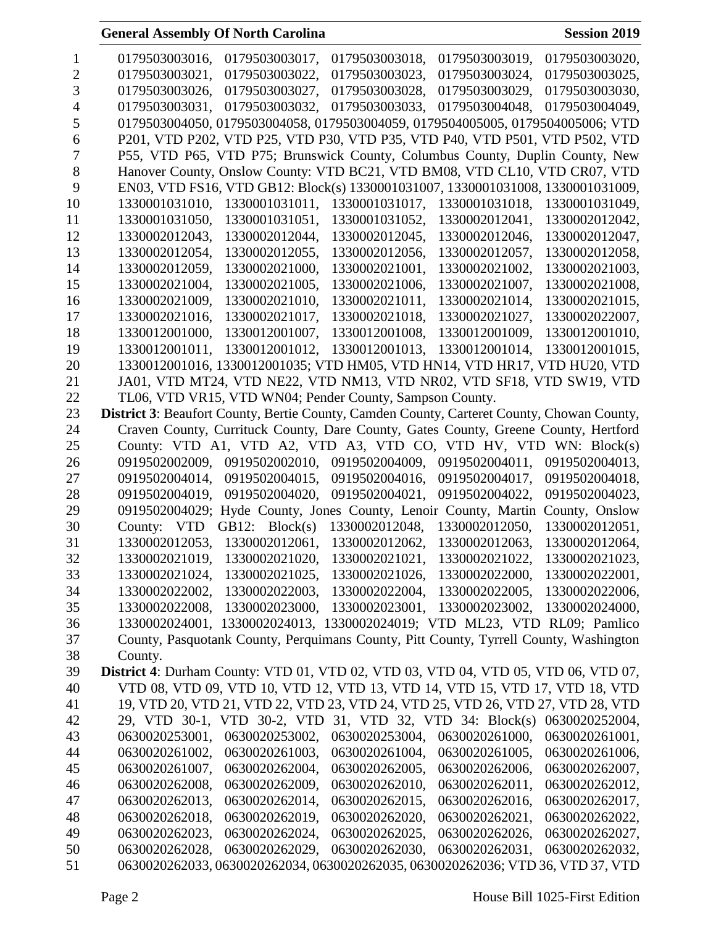| 1              | 0179503003017,<br>0179503003016,<br>0179503003018,<br>0179503003019,<br>0179503003020,     |
|----------------|--------------------------------------------------------------------------------------------|
| $\overline{2}$ | 0179503003021,<br>0179503003022,<br>0179503003023,<br>0179503003024,<br>0179503003025,     |
| 3              | 0179503003026,<br>0179503003027,<br>0179503003028.<br>0179503003029,<br>0179503003030,     |
| $\overline{4}$ | 0179503003031,<br>0179503003032,<br>0179503003033, 0179503004048,<br>0179503004049.        |
| 5              | 0179503004050, 0179503004058, 0179503004059, 0179504005005, 0179504005006; VTD             |
| 6              | P201, VTD P202, VTD P25, VTD P30, VTD P35, VTD P40, VTD P501, VTD P502, VTD                |
| 7              | P55, VTD P65, VTD P75; Brunswick County, Columbus County, Duplin County, New               |
| 8              | Hanover County, Onslow County: VTD BC21, VTD BM08, VTD CL10, VTD CR07, VTD                 |
| 9              | EN03, VTD FS16, VTD GB12: Block(s) 1330001031007, 1330001031008, 1330001031009,            |
| 10             | 1330001031011,<br>1330001031017, 1330001031018,<br>1330001031010.<br>1330001031049,        |
| 11             | 1330001031052,<br>1330001031050,<br>1330001031051,<br>1330002012041,<br>1330002012042,     |
| 12             | 1330002012043,<br>1330002012044,<br>1330002012045,<br>1330002012046,<br>1330002012047,     |
| 13             | 1330002012054,<br>1330002012055,<br>1330002012056,<br>1330002012057,<br>1330002012058,     |
| 14             | 1330002012059,<br>1330002021000,<br>1330002021001,<br>1330002021002,<br>1330002021003,     |
| 15             | 1330002021005.<br>1330002021006.<br>1330002021004,<br>1330002021007,<br>1330002021008,     |
| 16             | 1330002021009.<br>1330002021010,<br>1330002021011,<br>1330002021014,<br>1330002021015,     |
| 17             | 1330002021016.<br>1330002021017.<br>1330002021018,<br>1330002021027,<br>1330002022007,     |
| 18             | 1330012001000,<br>1330012001007,<br>1330012001008,<br>1330012001009,<br>1330012001010,     |
| 19             | 1330012001013,<br>1330012001014,<br>1330012001011.<br>1330012001012,<br>1330012001015,     |
| 20             | 1330012001016, 1330012001035; VTD HM05, VTD HN14, VTD HR17, VTD HU20, VTD                  |
| 21             | JA01, VTD MT24, VTD NE22, VTD NM13, VTD NR02, VTD SF18, VTD SW19, VTD                      |
| 22             | TL06, VTD VR15, VTD WN04; Pender County, Sampson County.                                   |
| 23             | District 3: Beaufort County, Bertie County, Camden County, Carteret County, Chowan County, |
| 24             | Craven County, Currituck County, Dare County, Gates County, Greene County, Hertford        |
| 25             | County: VTD A1, VTD A2, VTD A3, VTD CO, VTD HV, VTD WN: Block(s)                           |
| 26             | 0919502004009,<br>0919502004011,<br>0919502002009,<br>0919502002010,<br>0919502004013,     |
| 27             | 0919502004014,<br>0919502004015,<br>0919502004016,<br>0919502004017,<br>0919502004018,     |
| 28             | 0919502004019,<br>0919502004020,<br>0919502004021,<br>0919502004022,<br>0919502004023,     |
| 29             | 0919502004029; Hyde County, Jones County, Lenoir County, Martin<br>County, Onslow          |
| 30             | GB12: $Block(s)$<br>1330002012048,<br>1330002012050,<br>County: VTD<br>1330002012051,      |
| 31             | 1330002012053,<br>1330002012061,<br>1330002012062,<br>1330002012063,<br>1330002012064,     |
| 32             | 1330002021019,<br>1330002021020,<br>1330002021021,<br>1330002021022,<br>1330002021023,     |
| 33             | 1330002021024,<br>1330002021025,<br>1330002021026,<br>1330002022000,<br>1330002022001,     |
| 34             | 1330002022002,<br>1330002022003,<br>1330002022004,<br>1330002022005,<br>1330002022006,     |
| 35             | 1330002023000,<br>1330002023001,<br>1330002022008,<br>1330002023002,<br>1330002024000,     |
| 36             | 1330002024001, 1330002024013, 1330002024019; VTD ML23, VTD RL09; Pamlico                   |
| 37             | County, Pasquotank County, Perquimans County, Pitt County, Tyrrell County, Washington      |
| 38             | County.                                                                                    |
| 39             | District 4: Durham County: VTD 01, VTD 02, VTD 03, VTD 04, VTD 05, VTD 06, VTD 07,         |
| 40             | VTD 08, VTD 09, VTD 10, VTD 12, VTD 13, VTD 14, VTD 15, VTD 17, VTD 18, VTD                |
| 41             | 19, VTD 20, VTD 21, VTD 22, VTD 23, VTD 24, VTD 25, VTD 26, VTD 27, VTD 28, VTD            |
| 42             | 29, VTD 30-1, VTD 30-2, VTD 31, VTD 32, VTD 34: Block(s) 0630020252004,                    |
| 43             | 0630020253001,<br>0630020253002,<br>0630020253004, 0630020261000,<br>0630020261001,        |
| 44             | 0630020261003,<br>0630020261002,<br>0630020261004,<br>0630020261005,<br>0630020261006,     |
| 45             | 0630020261007,<br>0630020262004,<br>0630020262005,<br>0630020262006,<br>0630020262007,     |
| 46             | 0630020262010,<br>0630020262008,<br>0630020262009,<br>0630020262011,<br>0630020262012,     |
| 47             | 0630020262013,<br>0630020262014,<br>0630020262015,<br>0630020262016,<br>0630020262017,     |
| 48             | 0630020262018,<br>0630020262019,<br>0630020262020,<br>0630020262021,<br>0630020262022,     |
| 49             | 0630020262023,<br>0630020262024,<br>0630020262025,<br>0630020262026,<br>0630020262027,     |
| 50             | 0630020262028,<br>0630020262029,<br>0630020262030,<br>0630020262031,<br>0630020262032,     |
| 51             | 0630020262033, 0630020262034, 0630020262035, 0630020262036; VTD 36, VTD 37, VTD            |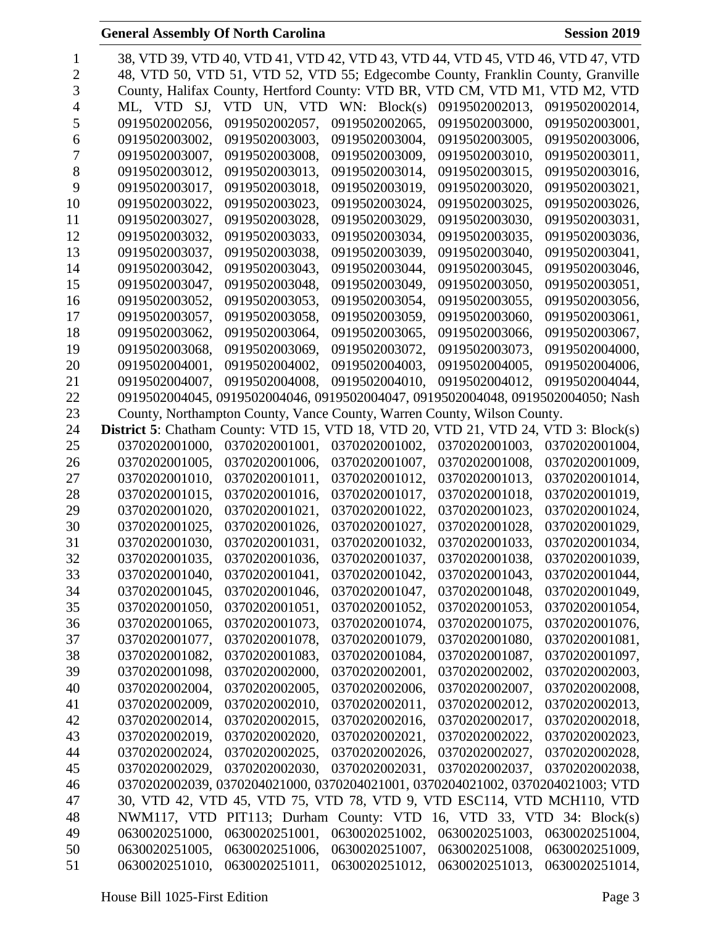| 1              |                                                                                            |                            |                | 38, VTD 39, VTD 40, VTD 41, VTD 42, VTD 43, VTD 44, VTD 45, VTD 46, VTD 47, VTD  |                |
|----------------|--------------------------------------------------------------------------------------------|----------------------------|----------------|----------------------------------------------------------------------------------|----------------|
| $\overline{2}$ |                                                                                            |                            |                | 48, VTD 50, VTD 51, VTD 52, VTD 55; Edgecombe County, Franklin County, Granville |                |
| 3              |                                                                                            |                            |                | County, Halifax County, Hertford County: VTD BR, VTD CM, VTD M1, VTD M2, VTD     |                |
| 4              | ML, VTD SJ,                                                                                | VTD UN, VTD WN: $Block(s)$ |                | 0919502002013,                                                                   | 0919502002014, |
| 5              | 0919502002056,                                                                             | 0919502002057,             | 0919502002065, | 0919502003000,                                                                   | 0919502003001, |
| 6              | 0919502003002,                                                                             | 0919502003003,             | 0919502003004, | 0919502003005,                                                                   | 0919502003006, |
| 7              | 0919502003007,                                                                             | 0919502003008,             | 0919502003009, | 0919502003010,                                                                   | 0919502003011, |
| 8              | 0919502003012,                                                                             | 0919502003013.             | 0919502003014, | 0919502003015,                                                                   | 0919502003016, |
| 9              | 0919502003017.                                                                             | 0919502003018,             | 0919502003019. | 0919502003020,                                                                   | 0919502003021, |
| 10             | 0919502003022,                                                                             | 0919502003023,             | 0919502003024, | 0919502003025,                                                                   | 0919502003026, |
| 11             | 0919502003027,                                                                             | 0919502003028,             | 0919502003029, | 0919502003030,                                                                   | 0919502003031, |
| 12             | 0919502003032,                                                                             | 0919502003033,             | 0919502003034, | 0919502003035,                                                                   | 0919502003036, |
| 13             | 0919502003037,                                                                             | 0919502003038,             | 0919502003039, | 0919502003040,                                                                   | 0919502003041, |
| 14             |                                                                                            |                            |                |                                                                                  |                |
|                | 0919502003042,                                                                             | 0919502003043,             | 0919502003044, | 0919502003045,                                                                   | 0919502003046, |
| 15<br>16       | 0919502003047,<br>0919502003052.                                                           | 0919502003048,             | 0919502003049, | 0919502003050,                                                                   | 0919502003051, |
| 17             | 0919502003057.                                                                             | 0919502003053,             | 0919502003054, | 0919502003055,                                                                   | 0919502003056, |
|                |                                                                                            | 0919502003058.             | 0919502003059. | 0919502003060,                                                                   | 0919502003061, |
| 18             | 0919502003062,                                                                             | 0919502003064,             | 0919502003065, | 0919502003066,                                                                   | 0919502003067, |
| 19             | 0919502003068,                                                                             | 0919502003069,             | 0919502003072, | 0919502003073,                                                                   | 0919502004000, |
| 20             | 0919502004001,                                                                             | 0919502004002,             | 0919502004003, | 0919502004005.                                                                   | 0919502004006, |
| 21             | 0919502004007,                                                                             | 0919502004008,             | 0919502004010, | 0919502004012,                                                                   | 0919502004044, |
| 22             |                                                                                            |                            |                | 0919502004045, 0919502004046, 0919502004047, 0919502004048, 0919502004050; Nash  |                |
| 23             |                                                                                            |                            |                | County, Northampton County, Vance County, Warren County, Wilson County.          |                |
| 24             | <b>District 5:</b> Chatham County: VTD 15, VTD 18, VTD 20, VTD 21, VTD 24, VTD 3: Block(s) |                            |                |                                                                                  |                |
| 25             | 0370202001000,                                                                             | 0370202001001,             | 0370202001002, | 0370202001003,                                                                   | 0370202001004, |
| 26             | 0370202001005,                                                                             | 0370202001006,             | 0370202001007, | 0370202001008,                                                                   | 0370202001009, |
| 27             | 0370202001010,                                                                             | 0370202001011,             | 0370202001012, | 0370202001013,                                                                   | 0370202001014, |
| 28             | 0370202001015,                                                                             | 0370202001016,             | 0370202001017, | 0370202001018,                                                                   | 0370202001019, |
| 29             | 0370202001020,                                                                             | 0370202001021,             | 0370202001022. | 0370202001023,                                                                   | 0370202001024, |
| 30             | 0370202001025,                                                                             | 0370202001026,             | 0370202001027, | 0370202001028,                                                                   | 0370202001029, |
| 31             | 0370202001030,                                                                             | 0370202001031,             | 0370202001032. | 0370202001033,                                                                   | 0370202001034, |
| 32             | 0370202001035,                                                                             | 0370202001036,             | 0370202001037, | 0370202001038,                                                                   | 0370202001039, |
| 33             | 0370202001040,                                                                             | 0370202001041,             | 0370202001042, | 0370202001043,                                                                   | 0370202001044, |
| 34             | 0370202001045,                                                                             | 0370202001046,             | 0370202001047, | 0370202001048,                                                                   | 0370202001049, |
| 35             | 0370202001050,                                                                             | 0370202001051,             | 0370202001052, | 0370202001053.                                                                   | 0370202001054, |
| 36             | 0370202001065,                                                                             | 0370202001073,             | 0370202001074, | 0370202001075,                                                                   | 0370202001076, |
| 37             | 0370202001077,                                                                             | 0370202001078,             | 0370202001079, | 0370202001080,                                                                   | 0370202001081, |
| 38             | 0370202001082,                                                                             | 0370202001083,             | 0370202001084, | 0370202001087,                                                                   | 0370202001097, |
| 39             | 0370202001098,                                                                             | 0370202002000,             | 0370202002001, | 0370202002002,                                                                   | 0370202002003, |
| 40             | 0370202002004,                                                                             | 0370202002005,             | 0370202002006, | 0370202002007,                                                                   | 0370202002008, |
| 41             | 0370202002009,                                                                             | 0370202002010,             | 0370202002011, | 0370202002012,                                                                   | 0370202002013, |
| 42             | 0370202002014,                                                                             | 0370202002015,             | 0370202002016, | 0370202002017,                                                                   | 0370202002018, |
| 43             | 0370202002019,                                                                             | 0370202002020,             | 0370202002021, | 0370202002022,                                                                   | 0370202002023, |
| 44             | 0370202002024,                                                                             | 0370202002025,             | 0370202002026, | 0370202002027,                                                                   | 0370202002028, |
| 45             | 0370202002029,                                                                             | 0370202002030,             | 0370202002031, | 0370202002037,                                                                   | 0370202002038, |
| 46             |                                                                                            |                            |                | 0370202002039, 0370204021000, 0370204021001, 0370204021002, 0370204021003; VTD   |                |
| 47             |                                                                                            |                            |                | 30, VTD 42, VTD 45, VTD 75, VTD 78, VTD 9, VTD ESC114, VTD MCH110, VTD           |                |
| 48             |                                                                                            |                            |                | NWM117, VTD PIT113; Durham County: VTD 16, VTD 33, VTD 34: Block(s)              |                |
| 49             | 0630020251000,                                                                             | 0630020251001,             | 0630020251002, | 0630020251003,                                                                   | 0630020251004, |
| 50             | 0630020251005,                                                                             | 0630020251006,             | 0630020251007, | 0630020251008,                                                                   | 0630020251009, |
| 51             | 0630020251010,                                                                             | 0630020251011,             | 0630020251012, | 0630020251013,                                                                   | 0630020251014, |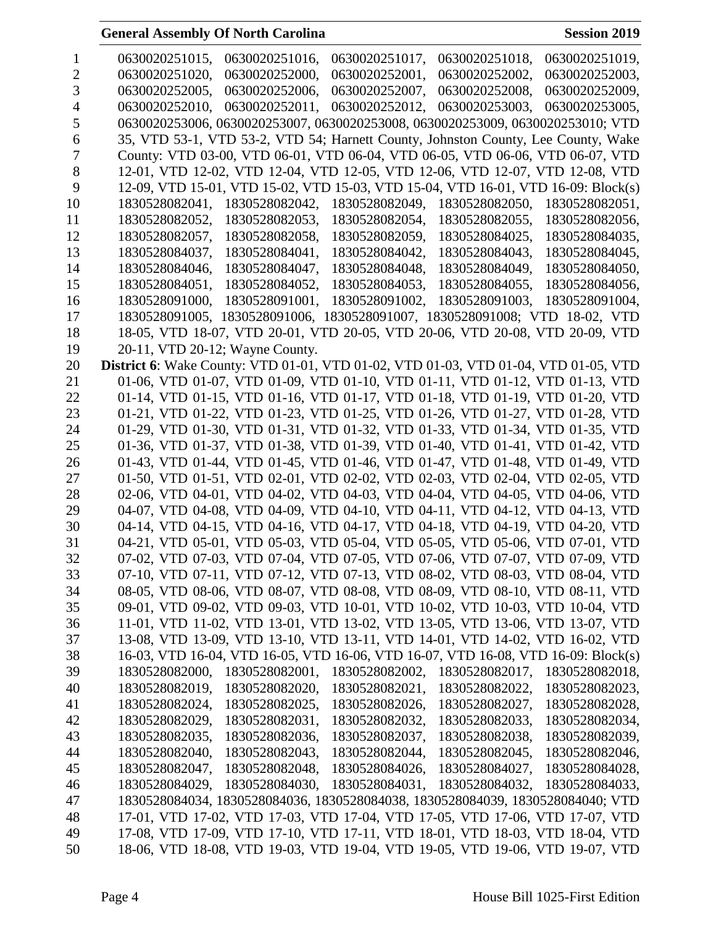| 1              | 0630020251016,<br>0630020251017,<br>0630020251015,<br>0630020251018,<br>0630020251019,     |
|----------------|--------------------------------------------------------------------------------------------|
| $\overline{2}$ | 0630020251020,<br>0630020252000,<br>0630020252001,<br>0630020252002,<br>0630020252003,     |
| 3              | 0630020252005,<br>0630020252006,<br>0630020252007,<br>0630020252008,<br>0630020252009,     |
| 4              | 0630020252012,<br>0630020253003.<br>0630020252010,<br>0630020252011,<br>0630020253005,     |
| 5              | 0630020253006, 0630020253007, 0630020253008, 0630020253009, 0630020253010; VTD             |
| 6              | 35, VTD 53-1, VTD 53-2, VTD 54; Harnett County, Johnston County, Lee County, Wake          |
| 7              | County: VTD 03-00, VTD 06-01, VTD 06-04, VTD 06-05, VTD 06-06, VTD 06-07, VTD              |
| 8              | 12-01, VTD 12-02, VTD 12-04, VTD 12-05, VTD 12-06, VTD 12-07, VTD 12-08, VTD               |
| 9              | 12-09, VTD 15-01, VTD 15-02, VTD 15-03, VTD 15-04, VTD 16-01, VTD 16-09: Block(s)          |
| 10             | 1830528082049,<br>1830528082050,<br>1830528082041,<br>1830528082042,<br>1830528082051,     |
| 11             | 1830528082052,<br>1830528082053,<br>1830528082054,<br>1830528082055,<br>1830528082056,     |
| 12             | 1830528082057,<br>1830528082058,<br>1830528082059,<br>1830528084025,<br>1830528084035,     |
| 13             | 1830528084037,<br>1830528084041,<br>1830528084042,<br>1830528084043,<br>1830528084045,     |
| 14             | 1830528084047,<br>1830528084046,<br>1830528084048,<br>1830528084049,<br>1830528084050,     |
| 15             | 1830528084052,<br>1830528084051,<br>1830528084053,<br>1830528084055,<br>1830528084056,     |
| 16             | 1830528091000,<br>1830528091001,<br>1830528091002.<br>1830528091003,<br>1830528091004,     |
| 17             | 1830528091005, 1830528091006, 1830528091007, 1830528091008; VTD 18-02, VTD                 |
| 18             | 18-05, VTD 18-07, VTD 20-01, VTD 20-05, VTD 20-06, VTD 20-08, VTD 20-09, VTD               |
| 19             | 20-11, VTD 20-12; Wayne County.                                                            |
| 20             | <b>District 6:</b> Wake County: VTD 01-01, VTD 01-02, VTD 01-03, VTD 01-04, VTD 01-05, VTD |
| 21             | 01-06, VTD 01-07, VTD 01-09, VTD 01-10, VTD 01-11, VTD 01-12, VTD 01-13, VTD               |
| 22             | 01-14, VTD 01-15, VTD 01-16, VTD 01-17, VTD 01-18, VTD 01-19, VTD 01-20, VTD               |
| 23             | 01-21, VTD 01-22, VTD 01-23, VTD 01-25, VTD 01-26, VTD 01-27, VTD 01-28, VTD               |
| 24             | 01-29, VTD 01-30, VTD 01-31, VTD 01-32, VTD 01-33, VTD 01-34, VTD 01-35, VTD               |
| 25             | 01-36, VTD 01-37, VTD 01-38, VTD 01-39, VTD 01-40, VTD 01-41, VTD 01-42, VTD               |
|                |                                                                                            |
| 26             | 01-43, VTD 01-44, VTD 01-45, VTD 01-46, VTD 01-47, VTD 01-48, VTD 01-49, VTD               |
| 27             | 01-50, VTD 01-51, VTD 02-01, VTD 02-02, VTD 02-03, VTD 02-04, VTD 02-05, VTD               |
| 28             | 02-06, VTD 04-01, VTD 04-02, VTD 04-03, VTD 04-04, VTD 04-05, VTD 04-06, VTD               |
| 29             | 04-07, VTD 04-08, VTD 04-09, VTD 04-10, VTD 04-11, VTD 04-12, VTD 04-13, VTD               |
| 30             | 04-14, VTD 04-15, VTD 04-16, VTD 04-17, VTD 04-18, VTD 04-19, VTD 04-20, VTD               |
| 31             | 04-21, VTD 05-01, VTD 05-03, VTD 05-04, VTD 05-05, VTD 05-06, VTD 07-01, VTD               |
| 32             | 07-02, VTD 07-03, VTD 07-04, VTD 07-05, VTD 07-06, VTD 07-07, VTD 07-09, VTD               |
| 33             | 07-10, VTD 07-11, VTD 07-12, VTD 07-13, VTD 08-02, VTD 08-03, VTD 08-04, VTD               |
| 34             | 08-05, VTD 08-06, VTD 08-07, VTD 08-08, VTD 08-09, VTD 08-10, VTD 08-11, VTD               |
| 35             | 09-01, VTD 09-02, VTD 09-03, VTD 10-01, VTD 10-02, VTD 10-03, VTD 10-04, VTD               |
| 36             | 11-01, VTD 11-02, VTD 13-01, VTD 13-02, VTD 13-05, VTD 13-06, VTD 13-07, VTD               |
| 37             | 13-08, VTD 13-09, VTD 13-10, VTD 13-11, VTD 14-01, VTD 14-02, VTD 16-02, VTD               |
| 38             | 16-03, VTD 16-04, VTD 16-05, VTD 16-06, VTD 16-07, VTD 16-08, VTD 16-09: Block(s)          |
| 39             | 1830528082000,<br>1830528082001,<br>1830528082002,<br>1830528082017,<br>1830528082018,     |
| 40             | 1830528082019,<br>1830528082020,<br>1830528082021,<br>1830528082022,<br>1830528082023,     |
| 41             | 1830528082024,<br>1830528082025,<br>1830528082026,<br>1830528082027,<br>1830528082028,     |
| 42             | 1830528082032,<br>1830528082029,<br>1830528082031,<br>1830528082033,<br>1830528082034,     |
| 43             | 1830528082037,<br>1830528082035,<br>1830528082036,<br>1830528082038,<br>1830528082039,     |
| 44             | 1830528082040,<br>1830528082043,<br>1830528082044,<br>1830528082045,<br>1830528082046,     |
| 45             | 1830528082047.<br>1830528082048,<br>1830528084027,<br>1830528084026,<br>1830528084028,     |
| 46             | 1830528084029,<br>1830528084030,<br>1830528084031,<br>1830528084032,<br>1830528084033,     |
| 47             | 1830528084034, 1830528084036, 1830528084038, 1830528084039, 1830528084040; VTD             |
| 48             | 17-01, VTD 17-02, VTD 17-03, VTD 17-04, VTD 17-05, VTD 17-06, VTD 17-07, VTD               |
| 49             | 17-08, VTD 17-09, VTD 17-10, VTD 17-11, VTD 18-01, VTD 18-03, VTD 18-04, VTD               |
| 50             | 18-06, VTD 18-08, VTD 19-03, VTD 19-04, VTD 19-05, VTD 19-06, VTD 19-07, VTD               |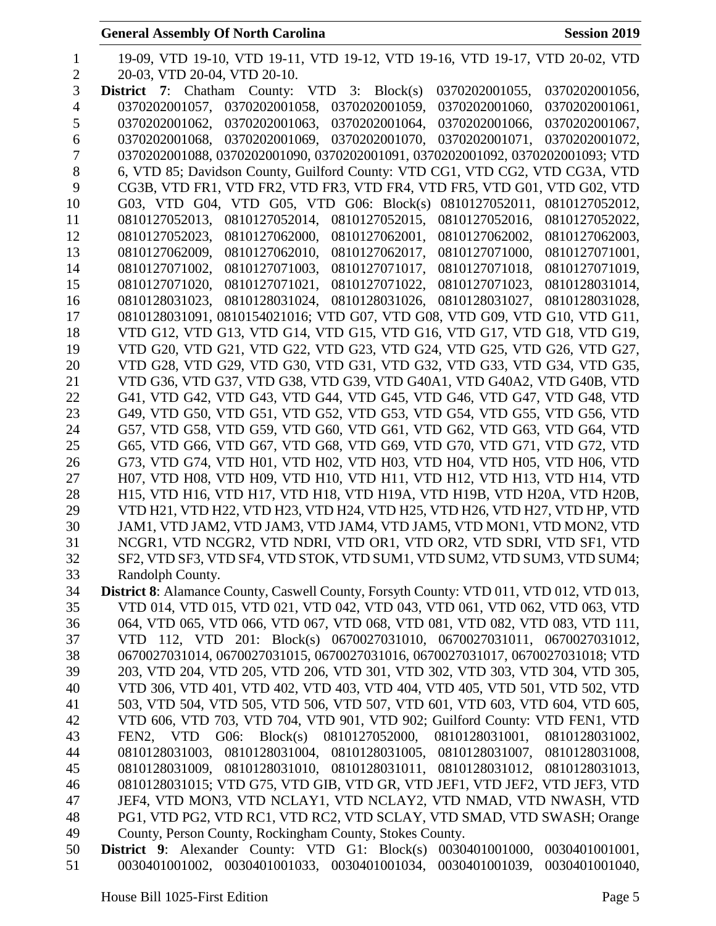| 1              | 19-09, VTD 19-10, VTD 19-11, VTD 19-12, VTD 19-16, VTD 19-17, VTD 20-02, VTD             |
|----------------|------------------------------------------------------------------------------------------|
| $\overline{2}$ | 20-03, VTD 20-04, VTD 20-10.                                                             |
| 3              | <b>District</b> 7: Chatham County: VTD 3: $Block(s)$<br>0370202001055,<br>0370202001056, |
| $\overline{4}$ | 0370202001057, 0370202001058, 0370202001059,<br>0370202001060,<br>0370202001061,         |
| 5              | 0370202001063, 0370202001064.<br>0370202001062,<br>0370202001066,<br>0370202001067,      |
| 6              | 0370202001068, 0370202001069, 0370202001070,<br>0370202001071,<br>0370202001072.         |
| $\tau$         | 0370202001088, 0370202001090, 0370202001091, 0370202001092, 0370202001093; VTD           |
| 8              | 6, VTD 85; Davidson County, Guilford County: VTD CG1, VTD CG2, VTD CG3A, VTD             |
| 9              | CG3B, VTD FR1, VTD FR2, VTD FR3, VTD FR4, VTD FR5, VTD G01, VTD G02, VTD                 |
| 10             | G03, VTD G04, VTD G05, VTD G06: Block(s) 0810127052011, 0810127052012,                   |
| 11             | 0810127052013,<br>0810127052014, 0810127052015,<br>0810127052016,<br>0810127052022,      |
| 12             | 0810127052023,<br>0810127062000,<br>0810127062003,<br>0810127062001,<br>0810127062002,   |
| 13             | 0810127062009,<br>0810127062010,<br>0810127062017,<br>0810127071000,<br>0810127071001,   |
| 14             | 0810127071002,<br>0810127071003,<br>0810127071018,<br>0810127071017,<br>0810127071019,   |
| 15             | 0810127071020,<br>0810127071021,<br>0810127071022,<br>0810127071023,<br>0810128031014,   |
| 16             | 0810128031023, 0810128031024, 0810128031026,<br>0810128031027,<br>0810128031028,         |
| 17             | 0810128031091, 0810154021016; VTD G07, VTD G08, VTD G09, VTD G10, VTD G11,               |
| 18             | VTD G12, VTD G13, VTD G14, VTD G15, VTD G16, VTD G17, VTD G18, VTD G19,                  |
| 19             | VTD G20, VTD G21, VTD G22, VTD G23, VTD G24, VTD G25, VTD G26, VTD G27,                  |
| 20             | VTD G28, VTD G29, VTD G30, VTD G31, VTD G32, VTD G33, VTD G34, VTD G35,                  |
| 21             | VTD G36, VTD G37, VTD G38, VTD G39, VTD G40A1, VTD G40A2, VTD G40B, VTD                  |
| 22             | G41, VTD G42, VTD G43, VTD G44, VTD G45, VTD G46, VTD G47, VTD G48, VTD                  |
| 23             | G49, VTD G50, VTD G51, VTD G52, VTD G53, VTD G54, VTD G55, VTD G56, VTD                  |
| 24             | G57, VTD G58, VTD G59, VTD G60, VTD G61, VTD G62, VTD G63, VTD G64, VTD                  |
| 25             | G65, VTD G66, VTD G67, VTD G68, VTD G69, VTD G70, VTD G71, VTD G72, VTD                  |
| 26             | G73, VTD G74, VTD H01, VTD H02, VTD H03, VTD H04, VTD H05, VTD H06, VTD                  |
| 27             | H07, VTD H08, VTD H09, VTD H10, VTD H11, VTD H12, VTD H13, VTD H14, VTD                  |
| 28             | H15, VTD H16, VTD H17, VTD H18, VTD H19A, VTD H19B, VTD H20A, VTD H20B,                  |
| 29             | VTD H21, VTD H22, VTD H23, VTD H24, VTD H25, VTD H26, VTD H27, VTD HP, VTD               |
| 30             | JAM1, VTD JAM2, VTD JAM3, VTD JAM4, VTD JAM5, VTD MON1, VTD MON2, VTD                    |
| 31             | NCGR1, VTD NCGR2, VTD NDRI, VTD OR1, VTD OR2, VTD SDRI, VTD SF1, VTD                     |
| 32             | SF2, VTD SF3, VTD SF4, VTD STOK, VTD SUM1, VTD SUM2, VTD SUM3, VTD SUM4;                 |
| 33             | Randolph County.                                                                         |
| 34             | District 8: Alamance County, Caswell County, Forsyth County: VTD 011, VTD 012, VTD 013,  |
| 35             | VTD 014, VTD 015, VTD 021, VTD 042, VTD 043, VTD 061, VTD 062, VTD 063, VTD              |
| 36             | 064, VTD 065, VTD 066, VTD 067, VTD 068, VTD 081, VTD 082, VTD 083, VTD 111,             |
| 37             | VTD 112, VTD 201: Block(s) 0670027031010, 0670027031011, 0670027031012,                  |
| 38             | 0670027031014, 0670027031015, 0670027031016, 0670027031017, 0670027031018; VTD           |
| 39             | 203, VTD 204, VTD 205, VTD 206, VTD 301, VTD 302, VTD 303, VTD 304, VTD 305,             |
| 40             | VTD 306, VTD 401, VTD 402, VTD 403, VTD 404, VTD 405, VTD 501, VTD 502, VTD              |
| 41             | 503, VTD 504, VTD 505, VTD 506, VTD 507, VTD 601, VTD 603, VTD 604, VTD 605,             |
| 42             | VTD 606, VTD 703, VTD 704, VTD 901, VTD 902; Guilford County: VTD FEN1, VTD              |
| 43             | FEN2, VTD G06: Block(s) 0810127052000, 0810128031001, 0810128031002,                     |
| 44             | 0810128031003, 0810128031004, 0810128031005, 0810128031007, 0810128031008,               |
| 45             | 0810128031009, 0810128031010, 0810128031011, 0810128031012, 0810128031013,               |
| 46             | 0810128031015; VTD G75, VTD GIB, VTD GR, VTD JEF1, VTD JEF2, VTD JEF3, VTD               |
| 47             | JEF4, VTD MON3, VTD NCLAY1, VTD NCLAY2, VTD NMAD, VTD NWASH, VTD                         |
| 48             | PG1, VTD PG2, VTD RC1, VTD RC2, VTD SCLAY, VTD SMAD, VTD SWASH; Orange                   |
| 49             | County, Person County, Rockingham County, Stokes County.                                 |
| 50             | District 9: Alexander County: VTD G1: Block(s) 0030401001000,<br>0030401001001,          |
| 51             | 0030401001002, 0030401001033, 0030401001034, 0030401001039,<br>0030401001040,            |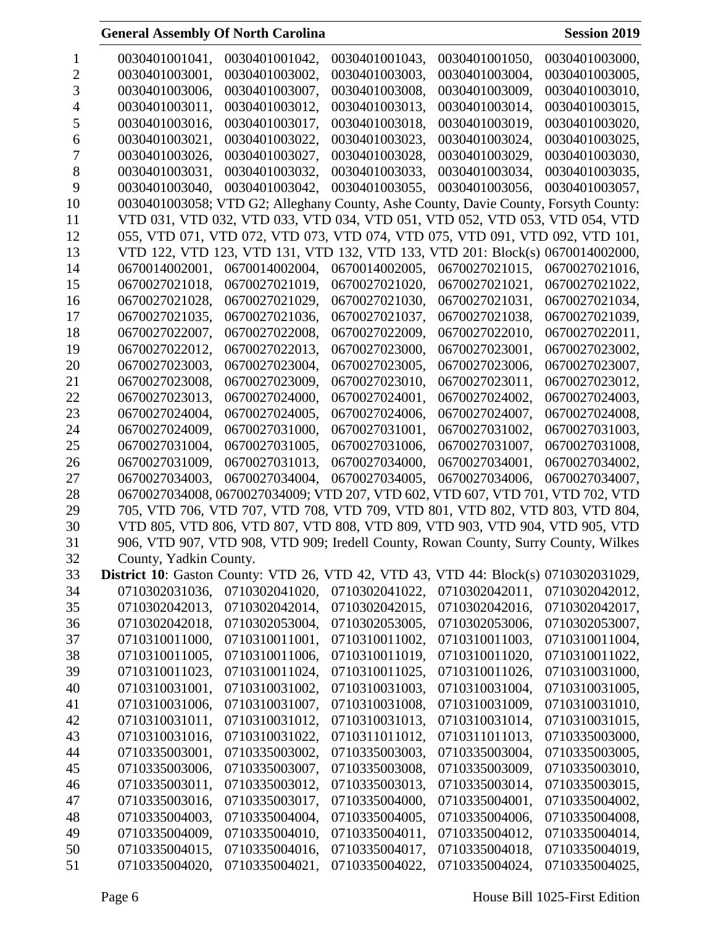| 1              | 0030401001041,                                             | 0030401001042, | 0030401001043, | 0030401001050,                                                                      | 0030401003000, |
|----------------|------------------------------------------------------------|----------------|----------------|-------------------------------------------------------------------------------------|----------------|
| $\overline{2}$ | 0030401003001,                                             | 0030401003002, | 0030401003003, | 0030401003004,                                                                      | 0030401003005, |
| 3              | 0030401003006,                                             | 0030401003007, | 0030401003008, | 0030401003009,                                                                      | 0030401003010, |
| 4              | 0030401003011,                                             | 0030401003012, | 0030401003013, | 0030401003014,                                                                      | 0030401003015, |
| 5              | 0030401003016,                                             | 0030401003017, | 0030401003018, | 0030401003019.                                                                      | 0030401003020, |
| 6              | 0030401003021,                                             | 0030401003022, | 0030401003023, | 0030401003024,                                                                      | 0030401003025, |
| 7              | 0030401003026,                                             | 0030401003027, | 0030401003028, | 0030401003029,                                                                      | 0030401003030, |
| 8              | 0030401003031,                                             | 0030401003032, | 0030401003033, | 0030401003034,                                                                      | 0030401003035, |
| 9              | 0030401003040,                                             | 0030401003042. | 0030401003055, | 0030401003056,                                                                      | 0030401003057, |
| 10             |                                                            |                |                | 0030401003058; VTD G2; Alleghany County, Ashe County, Davie County, Forsyth County: |                |
| 11             |                                                            |                |                | VTD 031, VTD 032, VTD 033, VTD 034, VTD 051, VTD 052, VTD 053, VTD 054, VTD         |                |
| 12             |                                                            |                |                | 055, VTD 071, VTD 072, VTD 073, VTD 074, VTD 075, VTD 091, VTD 092, VTD 101,        |                |
| 13             |                                                            |                |                | VTD 122, VTD 123, VTD 131, VTD 132, VTD 133, VTD 201: Block(s) 0670014002000,       |                |
| 14             | 0670014002001,                                             | 0670014002004, | 0670014002005, | 0670027021015,                                                                      | 0670027021016, |
| 15             | 0670027021018,                                             | 0670027021019, | 0670027021020, | 0670027021021,                                                                      | 0670027021022, |
| 16             | 0670027021028,                                             | 0670027021029. | 0670027021030, | 0670027021031,                                                                      | 0670027021034, |
| 17             | 0670027021035,                                             | 0670027021036, | 0670027021037, | 0670027021038,                                                                      | 0670027021039, |
| 18             | 0670027022007,                                             | 0670027022008, | 0670027022009, | 0670027022010,                                                                      | 0670027022011, |
| 19             | 0670027022012.                                             | 0670027022013, | 0670027023000, | 0670027023001,                                                                      | 0670027023002, |
| 20             | 0670027023003,                                             | 0670027023004, | 0670027023005, | 0670027023006,                                                                      | 0670027023007, |
| 21             | 0670027023008,                                             | 0670027023009, | 0670027023010, | 0670027023011,                                                                      | 0670027023012, |
| 22             | 0670027023013,                                             | 0670027024000, | 0670027024001, | 0670027024002,                                                                      | 0670027024003, |
| 23             | 0670027024004,                                             | 0670027024005, | 0670027024006, | 0670027024007,                                                                      | 0670027024008, |
| 24             | 0670027024009,                                             | 0670027031000, | 0670027031001, | 0670027031002,                                                                      | 0670027031003, |
| 25             | 0670027031004,                                             | 0670027031005, | 0670027031006, | 0670027031007,                                                                      | 0670027031008, |
| 26             | 0670027031009,                                             | 0670027031013, | 0670027034000, | 0670027034001,                                                                      | 0670027034002, |
| 27             | 0670027034003,                                             | 0670027034004, | 0670027034005, | 0670027034006,                                                                      | 0670027034007, |
| 28             |                                                            |                |                | 0670027034008, 0670027034009; VTD 207, VTD 602, VTD 607, VTD 701, VTD 702, VTD      |                |
| 29             |                                                            |                |                | 705, VTD 706, VTD 707, VTD 708, VTD 709, VTD 801, VTD 802, VTD 803, VTD 804,        |                |
| 30             |                                                            |                |                | VTD 805, VTD 806, VTD 807, VTD 808, VTD 809, VTD 903, VTD 904, VTD 905, VTD         |                |
| 31             |                                                            |                |                | 906, VTD 907, VTD 908, VTD 909; Iredell County, Rowan County, Surry County, Wilkes  |                |
| 32             | County, Yadkin County.                                     |                |                |                                                                                     |                |
| 33             | <b>District 10:</b> Gaston County: VTD 26, VTD 42, VTD 43, |                |                | VTD 44: Block(s) 0710302031029,                                                     |                |
| 34             | 0710302031036,                                             | 0710302041020, | 0710302041022, | 0710302042011,                                                                      | 0710302042012, |
| 35             | 0710302042013,                                             | 0710302042014, | 0710302042015, | 0710302042016,                                                                      | 0710302042017, |
| 36             | 0710302042018,                                             | 0710302053004, | 0710302053005, | 0710302053006,                                                                      | 0710302053007, |
| 37             | 0710310011000,                                             | 0710310011001, | 0710310011002, | 0710310011003,                                                                      | 0710310011004, |
| 38             | 0710310011005,                                             | 0710310011006, | 0710310011019, | 0710310011020,                                                                      | 0710310011022, |
| 39             | 0710310011023,                                             | 0710310011024, | 0710310011025, | 0710310011026,                                                                      | 0710310031000, |
| 40             | 0710310031001,                                             | 0710310031002, | 0710310031003, | 0710310031004,                                                                      | 0710310031005, |
| 41             | 0710310031006,                                             | 0710310031007, | 0710310031008, | 0710310031009,                                                                      | 0710310031010, |
|                |                                                            | 0710310031012, | 0710310031013, | 0710310031014,                                                                      |                |
| 42             | 0710310031011,                                             |                |                |                                                                                     | 0710310031015, |
| 43             | 0710310031016,                                             | 0710310031022, | 0710311011012, | 0710311011013,                                                                      | 0710335003000, |
| 44             | 0710335003001,                                             | 0710335003002, | 0710335003003, | 0710335003004,                                                                      | 0710335003005, |
| 45             | 0710335003006,                                             | 0710335003007, | 0710335003008, | 0710335003009,                                                                      | 0710335003010, |
| 46             | 0710335003011,                                             | 0710335003012, | 0710335003013, | 0710335003014,                                                                      | 0710335003015, |
| 47             | 0710335003016,                                             | 0710335003017, | 0710335004000, | 0710335004001,                                                                      | 0710335004002, |
| 48             | 0710335004003,                                             | 0710335004004, | 0710335004005, | 0710335004006,                                                                      | 0710335004008, |
| 49             | 0710335004009,                                             | 0710335004010, | 0710335004011, | 0710335004012,                                                                      | 0710335004014, |
| 50             | 0710335004015,                                             | 0710335004016, | 0710335004017, | 0710335004018,                                                                      | 0710335004019, |
| 51             | 0710335004020,                                             | 0710335004021, | 0710335004022, | 0710335004024,                                                                      | 0710335004025, |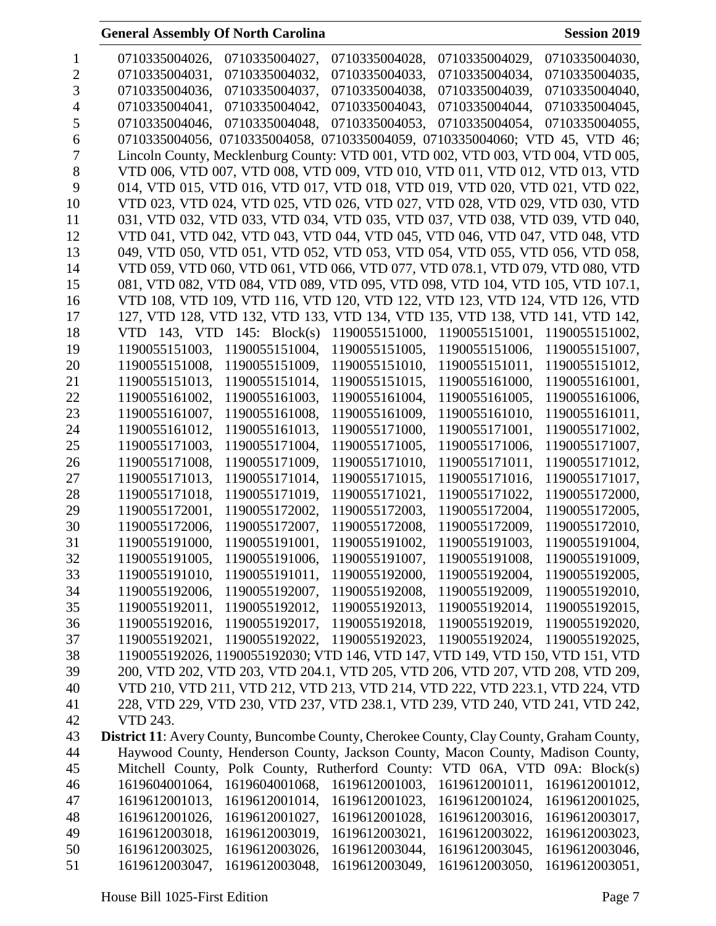| $\bf{l}$ | 0710335004026,<br>0710335004027,<br>0710335004028,<br>0710335004029,<br>0710335004030,          |
|----------|-------------------------------------------------------------------------------------------------|
| 2        | 0710335004031,<br>0710335004033,<br>0710335004034,<br>0710335004032,<br>0710335004035,          |
| 3        | 0710335004036,<br>0710335004037,<br>0710335004038,<br>0710335004039,<br>0710335004040,          |
| 4        | 0710335004043,<br>0710335004041,<br>0710335004042,<br>0710335004044,<br>0710335004045.          |
| 5        | 0710335004048, 0710335004053, 0710335004054,<br>0710335004046,<br>0710335004055,                |
| 6        | 0710335004056, 0710335004058, 0710335004059, 0710335004060; VTD 45, VTD 46;                     |
| 7        | Lincoln County, Mecklenburg County: VTD 001, VTD 002, VTD 003, VTD 004, VTD 005,                |
| 8        | VTD 006, VTD 007, VTD 008, VTD 009, VTD 010, VTD 011, VTD 012, VTD 013, VTD                     |
| 9        | 014, VTD 015, VTD 016, VTD 017, VTD 018, VTD 019, VTD 020, VTD 021, VTD 022,                    |
| 10       | VTD 023, VTD 024, VTD 025, VTD 026, VTD 027, VTD 028, VTD 029, VTD 030, VTD                     |
| 11       | 031, VTD 032, VTD 033, VTD 034, VTD 035, VTD 037, VTD 038, VTD 039, VTD 040,                    |
| 12       | VTD 041, VTD 042, VTD 043, VTD 044, VTD 045, VTD 046, VTD 047, VTD 048, VTD                     |
| 13       | 049, VTD 050, VTD 051, VTD 052, VTD 053, VTD 054, VTD 055, VTD 056, VTD 058,                    |
| 14       | VTD 059, VTD 060, VTD 061, VTD 066, VTD 077, VTD 078.1, VTD 079, VTD 080, VTD                   |
| 15       | 081, VTD 082, VTD 084, VTD 089, VTD 095, VTD 098, VTD 104, VTD 105, VTD 107.1,                  |
| 16       | VTD 108, VTD 109, VTD 116, VTD 120, VTD 122, VTD 123, VTD 124, VTD 126, VTD                     |
| 17       | 127, VTD 128, VTD 132, VTD 133, VTD 134, VTD 135, VTD 138, VTD 141, VTD 142,                    |
| 18       | VTD 143, VTD 145: $Block(s)$<br>1190055151000, 1190055151001,<br>1190055151002,                 |
| 19       | 1190055151003,<br>1190055151004,<br>1190055151005,<br>1190055151006,<br>1190055151007,          |
| 20       | 1190055151008,<br>1190055151009,<br>1190055151010,<br>1190055151011,<br>1190055151012,          |
| 21       | 1190055151013,<br>1190055151014,<br>1190055151015,<br>1190055161000,<br>1190055161001,          |
| 22       | 1190055161002,<br>1190055161003,<br>1190055161006,<br>1190055161004,<br>1190055161005,          |
| 23       | 1190055161007,<br>1190055161008,<br>1190055161009,<br>1190055161010,<br>1190055161011,          |
| 24       | 1190055161012,<br>1190055161013,<br>1190055171000,<br>1190055171001,<br>1190055171002,          |
| 25       | 1190055171003,<br>1190055171004,<br>1190055171005,<br>1190055171006,<br>1190055171007,          |
| 26       | 1190055171008,<br>1190055171009,<br>1190055171010,<br>1190055171011,<br>1190055171012,          |
| 27       | 1190055171013,<br>1190055171014,<br>1190055171015,<br>1190055171016,<br>1190055171017,          |
| 28       | 1190055171018,<br>1190055171019,<br>1190055171021,<br>1190055171022,<br>1190055172000,          |
| 29       | 1190055172001,<br>1190055172002.<br>1190055172003,<br>1190055172004,<br>1190055172005.          |
| 30       | 1190055172006,<br>1190055172007,<br>1190055172008.<br>1190055172009,<br>1190055172010,          |
| 31       | 1190055191000,<br>1190055191001,<br>1190055191002,<br>1190055191003,<br>1190055191004,          |
| 32       | 1190055191005,<br>1190055191006.<br>1190055191007.<br>1190055191008.<br>1190055191009.          |
| 33       | 1190055191010,<br>1190055191011,<br>1190055192000,<br>1190055192004,<br>1190055192005,          |
| 34       | 1190055192006,<br>1190055192007,<br>1190055192008,<br>1190055192009,<br>1190055192010,          |
| 35       | 1190055192011,<br>1190055192012,<br>1190055192013,<br>1190055192014,<br>1190055192015,          |
| 36       | 1190055192016,<br>1190055192017,<br>1190055192018,<br>1190055192019,<br>1190055192020,          |
| 37       | 1190055192021,<br>1190055192022,<br>1190055192023,<br>1190055192024,<br>1190055192025,          |
| 38       | 1190055192026, 1190055192030; VTD 146, VTD 147, VTD 149, VTD 150, VTD 151, VTD                  |
| 39       | 200, VTD 202, VTD 203, VTD 204.1, VTD 205, VTD 206, VTD 207, VTD 208, VTD 209,                  |
| 40       | VTD 210, VTD 211, VTD 212, VTD 213, VTD 214, VTD 222, VTD 223.1, VTD 224, VTD                   |
| 41       | 228, VTD 229, VTD 230, VTD 237, VTD 238.1, VTD 239, VTD 240, VTD 241, VTD 242,                  |
| 42       | VTD 243.                                                                                        |
| 43       | <b>District 11:</b> Avery County, Buncombe County, Cherokee County, Clay County, Graham County, |
| 44       | Haywood County, Henderson County, Jackson County, Macon County, Madison County,                 |
| 45       | Mitchell County, Polk County, Rutherford County: VTD 06A, VTD 09A: Block(s)                     |
| 46       | 1619604001068,<br>1619604001064,<br>1619612001003,<br>1619612001011,<br>1619612001012,          |
| 47       | 1619612001014,<br>1619612001024,<br>1619612001013,<br>1619612001023,<br>1619612001025,          |
| 48       | 1619612001026,<br>1619612001027,<br>1619612001028,<br>1619612003016,<br>1619612003017,          |
| 49       | 1619612003018,<br>1619612003019,<br>1619612003021,<br>1619612003022,<br>1619612003023,          |
| 50       | 1619612003025,<br>1619612003026,<br>1619612003044,<br>1619612003045,<br>1619612003046,          |
| 51       | 1619612003047,<br>1619612003048,<br>1619612003049,<br>1619612003050,<br>1619612003051,          |
|          |                                                                                                 |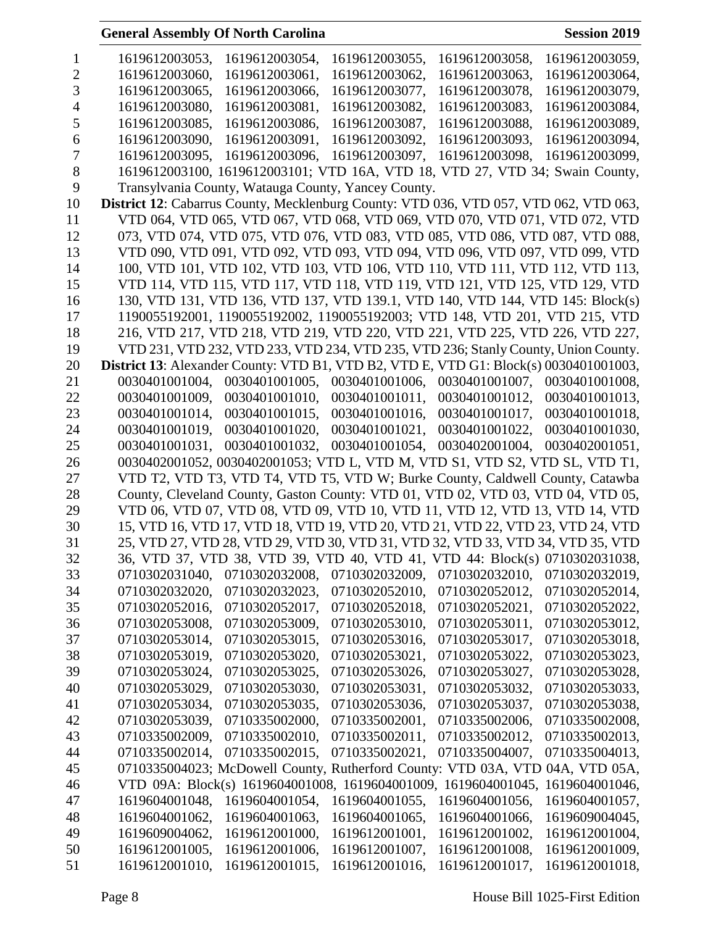| 1              | 1619612003053,<br>1619612003054,<br>1619612003055,<br>1619612003058,<br>1619612003059,                                                                                           |
|----------------|----------------------------------------------------------------------------------------------------------------------------------------------------------------------------------|
| $\overline{2}$ | 1619612003062,<br>1619612003063,<br>1619612003060,<br>1619612003061,<br>1619612003064,                                                                                           |
| 3              | 1619612003065,<br>1619612003066,<br>1619612003077,<br>1619612003078,<br>1619612003079,                                                                                           |
| $\overline{4}$ | 1619612003080,<br>1619612003081,<br>1619612003082,<br>1619612003083,<br>1619612003084,                                                                                           |
| 5              | 1619612003085,<br>1619612003086,<br>1619612003087,<br>1619612003088.<br>1619612003089,                                                                                           |
| 6              | 1619612003090,<br>1619612003091,<br>1619612003092,<br>1619612003093,<br>1619612003094,                                                                                           |
| 7              | 1619612003095,<br>1619612003096,<br>1619612003097,<br>1619612003098,<br>1619612003099,                                                                                           |
| 8              | 1619612003100, 1619612003101; VTD 16A, VTD 18, VTD 27, VTD 34; Swain County,                                                                                                     |
| 9              | Transylvania County, Watauga County, Yancey County.                                                                                                                              |
| 10             | District 12: Cabarrus County, Mecklenburg County: VTD 036, VTD 057, VTD 062, VTD 063,                                                                                            |
| 11             | VTD 064, VTD 065, VTD 067, VTD 068, VTD 069, VTD 070, VTD 071, VTD 072, VTD                                                                                                      |
| 12             | 073, VTD 074, VTD 075, VTD 076, VTD 083, VTD 085, VTD 086, VTD 087, VTD 088,                                                                                                     |
| 13             | VTD 090, VTD 091, VTD 092, VTD 093, VTD 094, VTD 096, VTD 097, VTD 099, VTD                                                                                                      |
| 14             | 100, VTD 101, VTD 102, VTD 103, VTD 106, VTD 110, VTD 111, VTD 112, VTD 113,                                                                                                     |
| 15             | VTD 114, VTD 115, VTD 117, VTD 118, VTD 119, VTD 121, VTD 125, VTD 129, VTD                                                                                                      |
| 16             | 130, VTD 131, VTD 136, VTD 137, VTD 139.1, VTD 140, VTD 144, VTD 145: Block(s)                                                                                                   |
| 17             | 1190055192001, 1190055192002, 1190055192003; VTD 148, VTD 201, VTD 215, VTD                                                                                                      |
| 18             | 216, VTD 217, VTD 218, VTD 219, VTD 220, VTD 221, VTD 225, VTD 226, VTD 227,                                                                                                     |
| 19             | VTD 231, VTD 232, VTD 233, VTD 234, VTD 235, VTD 236; Stanly County, Union County.                                                                                               |
| 20             | District 13: Alexander County: VTD B1, VTD B2, VTD E, VTD G1: Block(s) 0030401001003,                                                                                            |
| 21             | 0030401001005, 0030401001006, 0030401001007, 0030401001008,<br>0030401001004,                                                                                                    |
| 22             | 0030401001009,<br>0030401001010, 0030401001011, 0030401001012, 0030401001013,                                                                                                    |
| 23             | 0030401001014,<br>0030401001015,<br>0030401001016,<br>0030401001017,<br>0030401001018,                                                                                           |
| 24             | 0030401001019,<br>0030401001020,<br>0030401001021,<br>0030401001022,<br>0030401001030,                                                                                           |
| 25             | 0030401001031,<br>0030401001032, 0030401001054,<br>0030402001004, 0030402001051,                                                                                                 |
| 26             | 0030402001052, 0030402001053; VTD L, VTD M, VTD S1, VTD S2, VTD SL, VTD T1,                                                                                                      |
| 27             | VTD T2, VTD T3, VTD T4, VTD T5, VTD W; Burke County, Caldwell County, Catawba                                                                                                    |
|                |                                                                                                                                                                                  |
|                |                                                                                                                                                                                  |
| 28             | County, Cleveland County, Gaston County: VTD 01, VTD 02, VTD 03, VTD 04, VTD 05,                                                                                                 |
| 29             | VTD 06, VTD 07, VTD 08, VTD 09, VTD 10, VTD 11, VTD 12, VTD 13, VTD 14, VTD                                                                                                      |
| 30             | 15, VTD 16, VTD 17, VTD 18, VTD 19, VTD 20, VTD 21, VTD 22, VTD 23, VTD 24, VTD                                                                                                  |
| 31             | 25, VTD 27, VTD 28, VTD 29, VTD 30, VTD 31, VTD 32, VTD 33, VTD 34, VTD 35, VTD                                                                                                  |
| 32             | 36, VTD 37, VTD 38, VTD 39, VTD 40, VTD 41, VTD 44: Block(s) 0710302031038,                                                                                                      |
| 33             | 0710302031040, 0710302032008, 0710302032009, 0710302032010, 0710302032019,                                                                                                       |
| 34             | 0710302032020,<br>0710302032023,<br>0710302052010,<br>0710302052012,<br>0710302052014,                                                                                           |
| 35             | 0710302052016,<br>0710302052017,<br>0710302052018,<br>0710302052021,<br>0710302052022,                                                                                           |
| 36             | 0710302053008,<br>0710302053009,<br>0710302053010,<br>0710302053011,<br>0710302053012,                                                                                           |
| 37             | 0710302053014,<br>0710302053015,<br>0710302053016,<br>0710302053017,<br>0710302053018,                                                                                           |
| 38             | 0710302053019,<br>0710302053020,<br>0710302053021,<br>0710302053022,<br>0710302053023,                                                                                           |
| 39             | 0710302053024,<br>0710302053025,<br>0710302053026,<br>0710302053027,<br>0710302053028,                                                                                           |
| 40             | 0710302053029,<br>0710302053030,<br>0710302053031,<br>0710302053032,<br>0710302053033,                                                                                           |
| 41             | 0710302053037,<br>0710302053034,<br>0710302053035,<br>0710302053036,<br>0710302053038,                                                                                           |
| 42             | 0710302053039,<br>0710335002000,<br>0710335002001,<br>0710335002006,<br>0710335002008,                                                                                           |
| 43             | 0710335002009,<br>0710335002010,<br>0710335002011,<br>0710335002012,<br>0710335002013,                                                                                           |
| 44             | 0710335002015,<br>0710335002021,<br>0710335004007,<br>0710335002014,<br>0710335004013,                                                                                           |
| 45             | 0710335004023; McDowell County, Rutherford County: VTD 03A, VTD<br>04A, VTD 05A,                                                                                                 |
| 46             | VTD 09A: Block(s) 1619604001008, 1619604001009, 1619604001045,<br>1619604001046,                                                                                                 |
| 47             | 1619604001056,<br>1619604001057,<br>1619604001048,<br>1619604001054,<br>1619604001055,                                                                                           |
| 48             | 1619604001062,<br>1619604001063,<br>1619604001065,<br>1619604001066,<br>1619609004045,                                                                                           |
| 49             | 1619609004062,<br>1619612001000,<br>1619612001001,<br>1619612001002,<br>1619612001004,                                                                                           |
| 50<br>51       | 1619612001005,<br>1619612001006,<br>1619612001007,<br>1619612001008,<br>1619612001009,<br>1619612001015,<br>1619612001010,<br>1619612001016,<br>1619612001017,<br>1619612001018, |